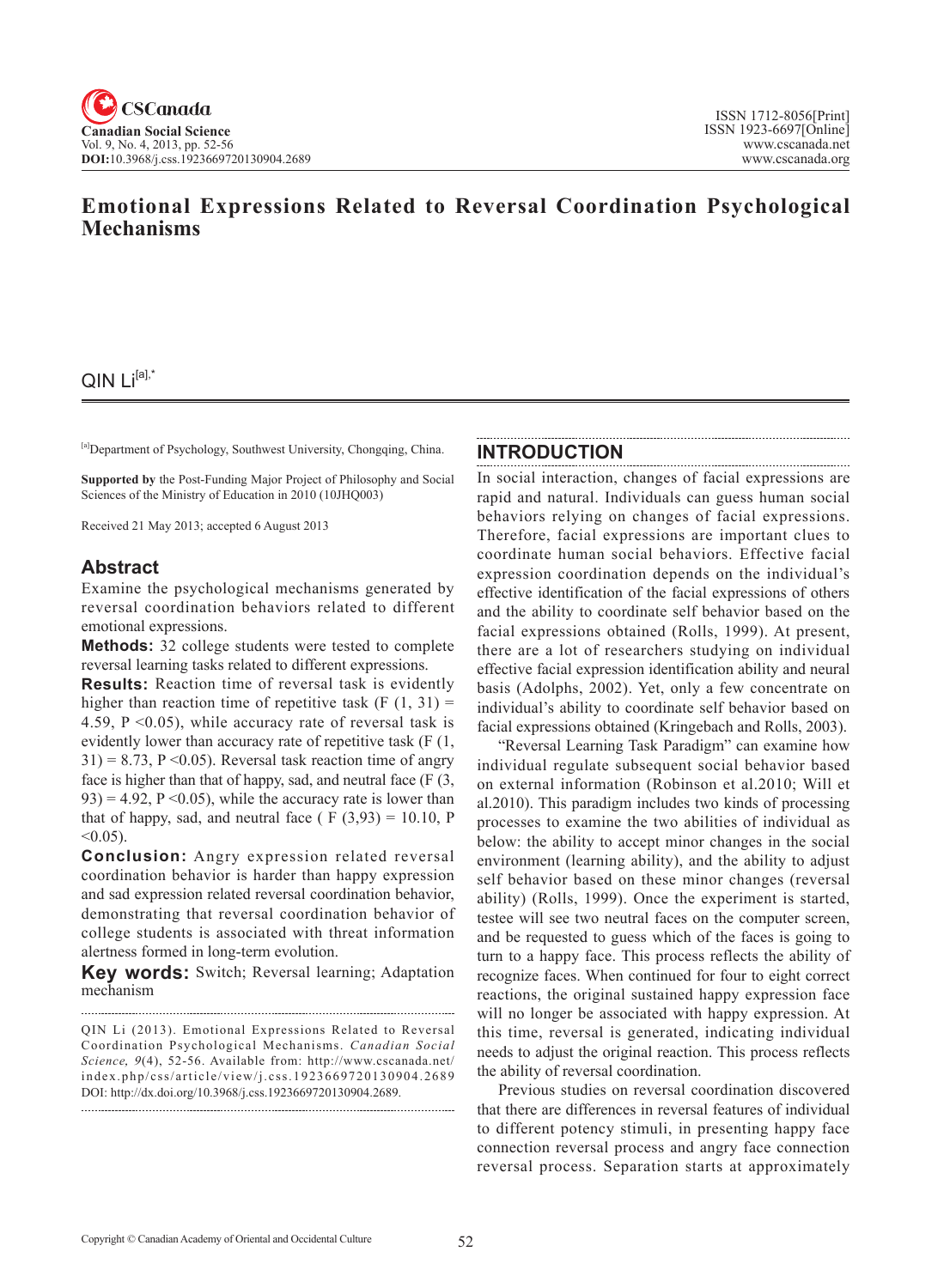# **Emotional Expressions Related to Reversal Coordination Psychological Mechanisms**

 $QIN Li^{[a],*}$ 

[a]Department of Psychology, Southwest University, Chongqing, China.

**Supported by** the Post-Funding Major Project of Philosophy and Social Sciences of the Ministry of Education in 2010 (10JHQ003)

Received 21 May 2013; accepted 6 August 2013

## **Abstract**

Examine the psychological mechanisms generated by reversal coordination behaviors related to different emotional expressions.

**Methods:** 32 college students were tested to complete reversal learning tasks related to different expressions.

**Results:** Reaction time of reversal task is evidently higher than reaction time of repetitive task  $(F (1, 31)) =$ 4.59,  $P \le 0.05$ ), while accuracy rate of reversal task is evidently lower than accuracy rate of repetitive task (F (1,  $31$ ) = 8.73, P < 0.05). Reversal task reaction time of angry face is higher than that of happy, sad, and neutral face (F (3,  $93$ ) = 4.92, P < 0.05), while the accuracy rate is lower than that of happy, sad, and neutral face ( $F(3,93) = 10.10$ , P  $< 0.05$ ).

**Conclusion:** Angry expression related reversal coordination behavior is harder than happy expression and sad expression related reversal coordination behavior, demonstrating that reversal coordination behavior of college students is associated with threat information alertness formed in long-term evolution.

**Key words:** Switch; Reversal learning; Adaptation mechanism

#### **INTRODUCTION**

In social interaction, changes of facial expressions are rapid and natural. Individuals can guess human social behaviors relying on changes of facial expressions. Therefore, facial expressions are important clues to coordinate human social behaviors. Effective facial expression coordination depends on the individual's effective identification of the facial expressions of others and the ability to coordinate self behavior based on the facial expressions obtained (Rolls, 1999). At present, there are a lot of researchers studying on individual effective facial expression identification ability and neural basis (Adolphs, 2002). Yet, only a few concentrate on individual's ability to coordinate self behavior based on facial expressions obtained (Kringebach and Rolls, 2003).

"Reversal Learning Task Paradigm" can examine how individual regulate subsequent social behavior based on external information (Robinson et al.2010; Will et al.2010). This paradigm includes two kinds of processing processes to examine the two abilities of individual as below: the ability to accept minor changes in the social environment (learning ability), and the ability to adjust self behavior based on these minor changes (reversal ability) (Rolls, 1999). Once the experiment is started, testee will see two neutral faces on the computer screen, and be requested to guess which of the faces is going to turn to a happy face. This process reflects the ability of recognize faces. When continued for four to eight correct reactions, the original sustained happy expression face will no longer be associated with happy expression. At this time, reversal is generated, indicating individual needs to adjust the original reaction. This process reflects the ability of reversal coordination.

Previous studies on reversal coordination discovered that there are differences in reversal features of individual to different potency stimuli, in presenting happy face connection reversal process and angry face connection reversal process. Separation starts at approximately

QIN Li (2013). Emotional Expressions Related to Reversal Coordination Psychological Mechanisms. *Canadian Social Science*, 9(4), 52-56. Available from: http://www.cscanada.net/ index.php/css/article/view/j.css.1923669720130904.2689 DOI: http://dx.doi.org/10.3968/j.css.1923669720130904.2689.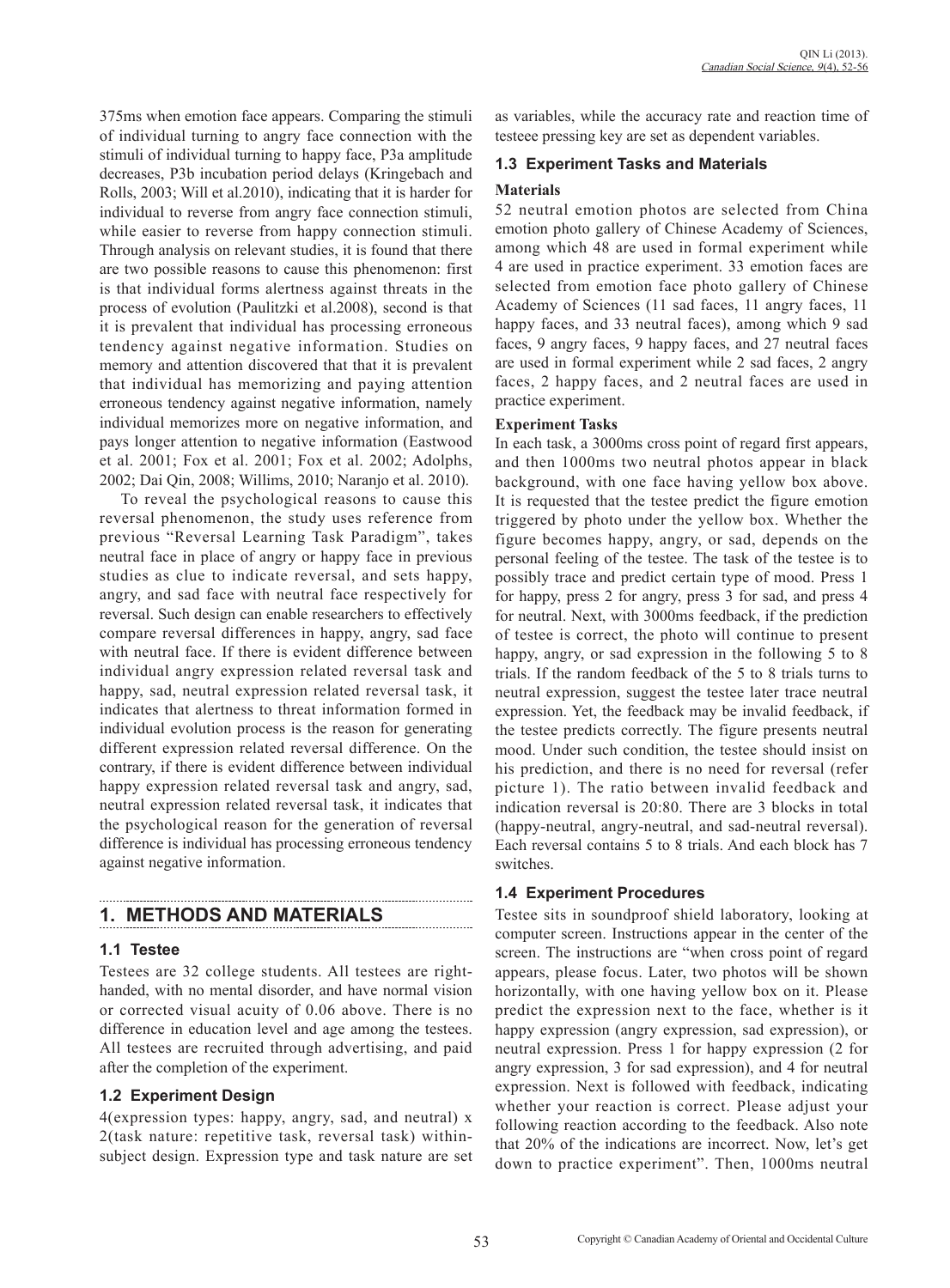375ms when emotion face appears. Comparing the stimuli of individual turning to angry face connection with the stimuli of individual turning to happy face, P3a amplitude decreases, P3b incubation period delays (Kringebach and Rolls, 2003; Will et al.2010), indicating that it is harder for individual to reverse from angry face connection stimuli, while easier to reverse from happy connection stimuli. Through analysis on relevant studies, it is found that there are two possible reasons to cause this phenomenon: first is that individual forms alertness against threats in the process of evolution (Paulitzki et al.2008), second is that it is prevalent that individual has processing erroneous tendency against negative information. Studies on memory and attention discovered that that it is prevalent that individual has memorizing and paying attention erroneous tendency against negative information, namely individual memorizes more on negative information, and pays longer attention to negative information (Eastwood et al. 2001; Fox et al. 2001; Fox et al. 2002; Adolphs, 2002; Dai Qin, 2008; Willims, 2010; Naranjo et al. 2010).

To reveal the psychological reasons to cause this reversal phenomenon, the study uses reference from previous "Reversal Learning Task Paradigm", takes neutral face in place of angry or happy face in previous studies as clue to indicate reversal, and sets happy, angry, and sad face with neutral face respectively for reversal. Such design can enable researchers to effectively compare reversal differences in happy, angry, sad face with neutral face. If there is evident difference between individual angry expression related reversal task and happy, sad, neutral expression related reversal task, it indicates that alertness to threat information formed in individual evolution process is the reason for generating different expression related reversal difference. On the contrary, if there is evident difference between individual happy expression related reversal task and angry, sad, neutral expression related reversal task, it indicates that the psychological reason for the generation of reversal difference is individual has processing erroneous tendency against negative information.

# **1. METHODS AND MATERIALS**

#### **1.1 Testee**

Testees are 32 college students. All testees are righthanded, with no mental disorder, and have normal vision or corrected visual acuity of 0.06 above. There is no difference in education level and age among the testees. All testees are recruited through advertising, and paid after the completion of the experiment.

## **1.2 Experiment Design**

4(expression types: happy, angry, sad, and neutral) x 2(task nature: repetitive task, reversal task) withinsubject design. Expression type and task nature are set as variables, while the accuracy rate and reaction time of testeee pressing key are set as dependent variables.

## **1.3 Experiment Tasks and Materials**

## **Materials**

52 neutral emotion photos are selected from China emotion photo gallery of Chinese Academy of Sciences, among which 48 are used in formal experiment while 4 are used in practice experiment. 33 emotion faces are selected from emotion face photo gallery of Chinese Academy of Sciences (11 sad faces, 11 angry faces, 11 happy faces, and 33 neutral faces), among which 9 sad faces, 9 angry faces, 9 happy faces, and 27 neutral faces are used in formal experiment while 2 sad faces, 2 angry faces, 2 happy faces, and 2 neutral faces are used in practice experiment.

#### **Experiment Tasks**

In each task, a 3000ms cross point of regard first appears, and then 1000ms two neutral photos appear in black background, with one face having yellow box above. It is requested that the testee predict the figure emotion triggered by photo under the yellow box. Whether the figure becomes happy, angry, or sad, depends on the personal feeling of the testee. The task of the testee is to possibly trace and predict certain type of mood. Press 1 for happy, press 2 for angry, press 3 for sad, and press 4 for neutral. Next, with 3000ms feedback, if the prediction of testee is correct, the photo will continue to present happy, angry, or sad expression in the following 5 to 8 trials. If the random feedback of the 5 to 8 trials turns to neutral expression, suggest the testee later trace neutral expression. Yet, the feedback may be invalid feedback, if the testee predicts correctly. The figure presents neutral mood. Under such condition, the testee should insist on his prediction, and there is no need for reversal (refer picture 1). The ratio between invalid feedback and indication reversal is 20:80. There are 3 blocks in total (happy-neutral, angry-neutral, and sad-neutral reversal). Each reversal contains 5 to 8 trials. And each block has 7 switches.

## **1.4 Experiment Procedures**

Testee sits in soundproof shield laboratory, looking at computer screen. Instructions appear in the center of the screen. The instructions are "when cross point of regard appears, please focus. Later, two photos will be shown horizontally, with one having yellow box on it. Please predict the expression next to the face, whether is it happy expression (angry expression, sad expression), or neutral expression. Press 1 for happy expression (2 for angry expression, 3 for sad expression), and 4 for neutral expression. Next is followed with feedback, indicating whether your reaction is correct. Please adjust your following reaction according to the feedback. Also note that 20% of the indications are incorrect. Now, let's get down to practice experiment". Then, 1000ms neutral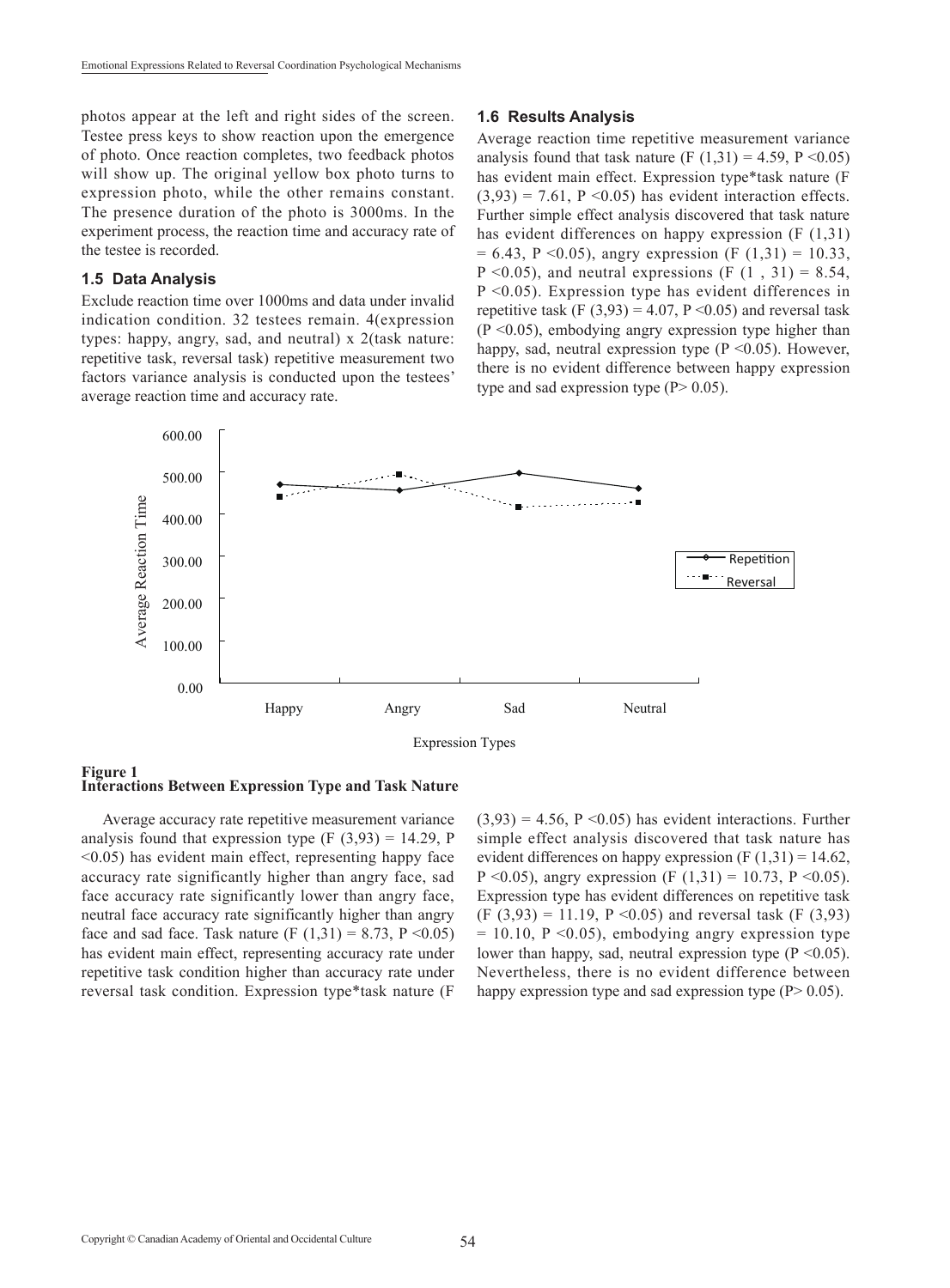photos appear at the left and right sides of the screen. Testee press keys to show reaction upon the emergence of photo. Once reaction completes, two feedback photos will show up. The original yellow box photo turns to expression photo, while the other remains constant. The presence duration of the photo is 3000ms. In the experiment process, the reaction time and accuracy rate of the testee is recorded.

#### **1.5 Data Analysis**

Exclude reaction time over 1000ms and data under invalid indication condition. 32 testees remain. 4(expression types: happy, angry, sad, and neutral) x 2(task nature: repetitive task, reversal task) repetitive measurement two factors variance analysis is conducted upon the testees' average reaction time and accuracy rate.

#### **1.6 Results Analysis**

Average reaction time repetitive measurement variance analysis found that task nature (F  $(1,31) = 4.59$ , P < 0.05) has evident main effect. Expression type\*task nature (F  $(3.93) = 7.61$ ,  $P \le 0.05$  has evident interaction effects. Further simple effect analysis discovered that task nature has evident differences on happy expression (F (1,31)  $= 6.43$ , P < 0.05), angry expression (F (1.31) = 10.33,  $P \le 0.05$ ), and neutral expressions (F (1, 31) = 8.54,  $P \leq 0.05$ ). Expression type has evident differences in repetitive task (F  $(3,93) = 4.07$ , P < 0.05) and reversal task  $(P \le 0.05)$ , embodying angry expression type higher than happy, sad, neutral expression type  $(P \le 0.05)$ . However, there is no evident difference between happy expression type and sad expression type  $(P> 0.05)$ .



#### **Figure 1 Interactions Between Expression Type and Task Nature**

Average accuracy rate repetitive measurement variance analysis found that expression type  $(F (3, 93) = 14.29, P)$ <0.05) has evident main effect, representing happy face accuracy rate significantly higher than angry face, sad face accuracy rate significantly lower than angry face, neutral face accuracy rate significantly higher than angry face and sad face. Task nature (F  $(1.31) = 8.73$ , P < 0.05) has evident main effect, representing accuracy rate under repetitive task condition higher than accuracy rate under reversal task condition. Expression type\*task nature (F  $(3,93) = 4.56$ ,  $P \le 0.05$ ) has evident interactions. Further simple effect analysis discovered that task nature has evident differences on happy expression  $(F(1,31) = 14.62)$ , P < 0.05), angry expression (F (1,31) = 10.73, P < 0.05). Expression type has evident differences on repetitive task  $(F (3,93) = 11.19, P < 0.05)$  and reversal task  $(F (3,93))$  $= 10.10$ , P < 0.05), embodying angry expression type lower than happy, sad, neutral expression type  $(P \le 0.05)$ . Nevertheless, there is no evident difference between happy expression type and sad expression type  $(P> 0.05)$ .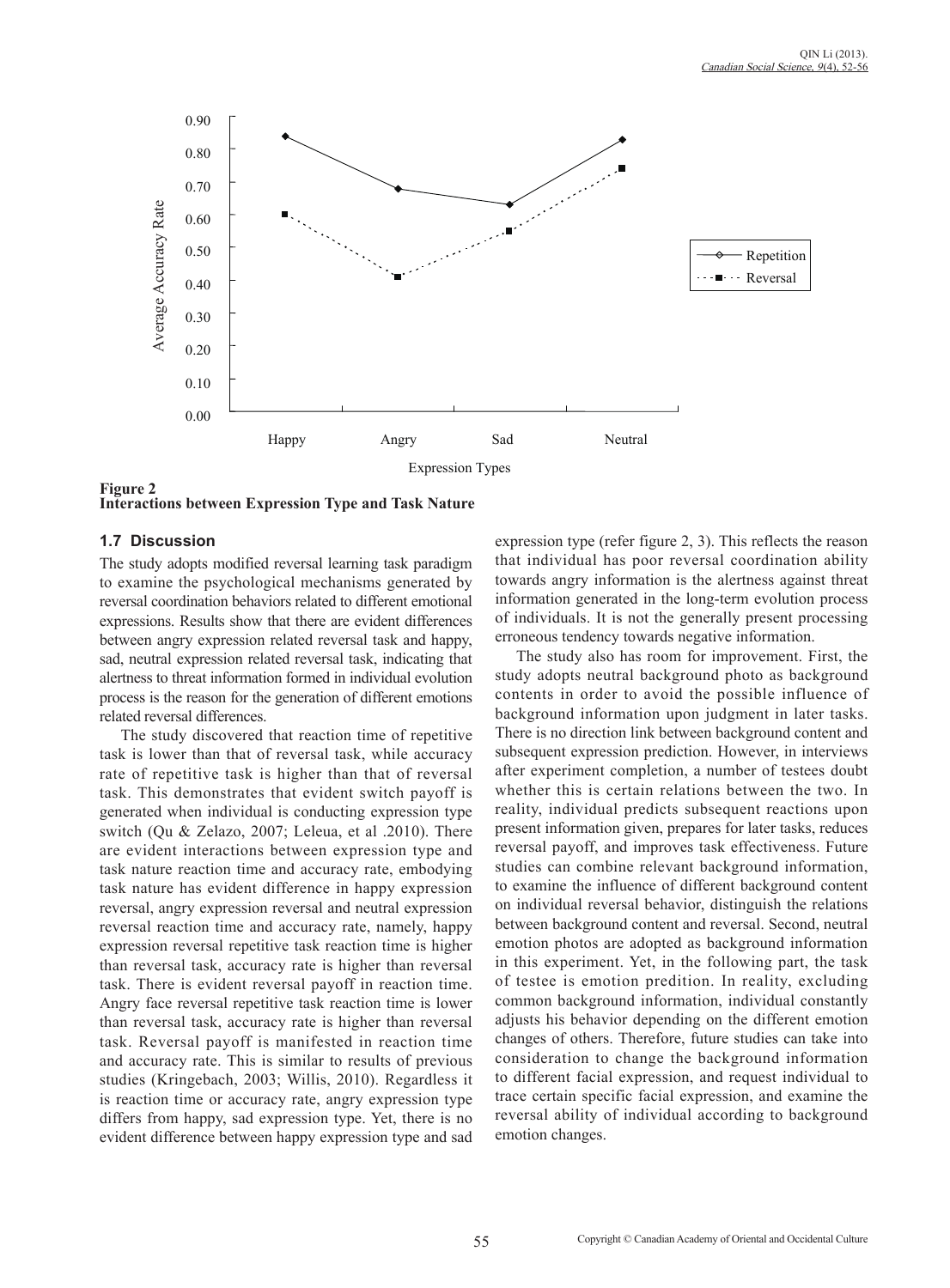

**Figure 2 Interactions between Expression Type and Task Nature**

## **1.7 Discussion**

The study adopts modified reversal learning task paradigm to examine the psychological mechanisms generated by reversal coordination behaviors related to different emotional expressions. Results show that there are evident differences between angry expression related reversal task and happy, sad, neutral expression related reversal task, indicating that alertness to threat information formed in individual evolution process is the reason for the generation of different emotions related reversal differences.

The study discovered that reaction time of repetitive task is lower than that of reversal task, while accuracy rate of repetitive task is higher than that of reversal task. This demonstrates that evident switch payoff is generated when individual is conducting expression type switch (Qu & Zelazo, 2007; Leleua, et al .2010). There are evident interactions between expression type and task nature reaction time and accuracy rate, embodying task nature has evident difference in happy expression reversal, angry expression reversal and neutral expression reversal reaction time and accuracy rate, namely, happy expression reversal repetitive task reaction time is higher than reversal task, accuracy rate is higher than reversal task. There is evident reversal payoff in reaction time. Angry face reversal repetitive task reaction time is lower than reversal task, accuracy rate is higher than reversal task. Reversal payoff is manifested in reaction time and accuracy rate. This is similar to results of previous studies (Kringebach, 2003; Willis, 2010). Regardless it is reaction time or accuracy rate, angry expression type differs from happy, sad expression type. Yet, there is no evident difference between happy expression type and sad

expression type (refer figure 2, 3). This reflects the reason that individual has poor reversal coordination ability towards angry information is the alertness against threat information generated in the long-term evolution process of individuals. It is not the generally present processing erroneous tendency towards negative information.

The study also has room for improvement. First, the study adopts neutral background photo as background contents in order to avoid the possible influence of background information upon judgment in later tasks. There is no direction link between background content and subsequent expression prediction. However, in interviews after experiment completion, a number of testees doubt whether this is certain relations between the two. In reality, individual predicts subsequent reactions upon present information given, prepares for later tasks, reduces reversal payoff, and improves task effectiveness. Future studies can combine relevant background information, to examine the influence of different background content on individual reversal behavior, distinguish the relations between background content and reversal. Second, neutral emotion photos are adopted as background information in this experiment. Yet, in the following part, the task of testee is emotion predition. In reality, excluding common background information, individual constantly adjusts his behavior depending on the different emotion changes of others. Therefore, future studies can take into consideration to change the background information to different facial expression, and request individual to trace certain specific facial expression, and examine the reversal ability of individual according to background emotion changes.